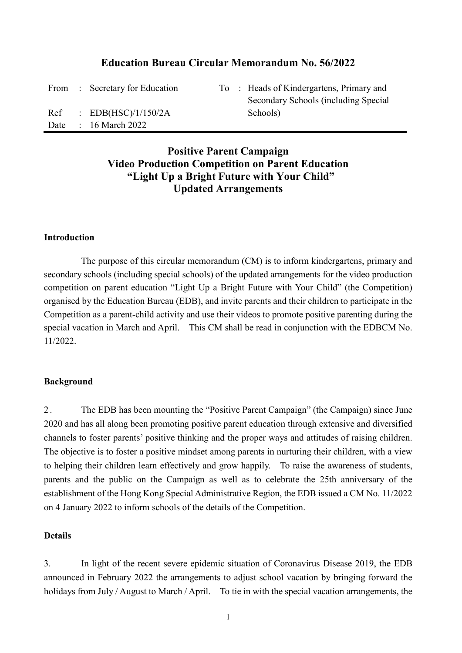## **Education Bureau Circular Memorandum No. 56/2022**

|     | From : Secretary for Education |  | To : Heads of Kindergartens, Primary and |
|-----|--------------------------------|--|------------------------------------------|
|     |                                |  | Secondary Schools (including Special     |
| Ref | $\therefore$ EDB(HSC)/1/150/2A |  | Schools)                                 |
|     | Date: $16$ March 2022          |  |                                          |

# **Positive Parent Campaign Video Production Competition on Parent Education "Light Up a Bright Future with Your Child" Updated Arrangements**

#### **Introduction**

The purpose of this circular memorandum (CM) is to inform kindergartens, primary and secondary schools (including special schools) of the updated arrangements for the video production competition on parent education "Light Up a Bright Future with Your Child" (the Competition) organised by the Education Bureau (EDB), and invite parents and their children to participate in the Competition as a parent-child activity and use their videos to promote positive parenting during the special vacation in March and April. This CM shall be read in conjunction with the EDBCM No. 11/2022.

#### **Background**

2 . The EDB has been mounting the "Positive Parent Campaign" (the Campaign) since June 2020 and has all along been promoting positive parent education through extensive and diversified channels to foster parents' positive thinking and the proper ways and attitudes of raising children. The objective is to foster a positive mindset among parents in nurturing their children, with a view to helping their children learn effectively and grow happily. To raise the awareness of students, parents and the public on the Campaign as well as to celebrate the 25th anniversary of the establishment of the Hong Kong Special Administrative Region, the EDB issued a CM No. 11/2022 on 4 January 2022 to inform schools of the details of the Competition.

#### **Details**

3. In light of the recent severe epidemic situation of Coronavirus Disease 2019, the EDB announced in February 2022 the arrangements to adjust school vacation by bringing forward the holidays from July / August to March / April. To tie in with the special vacation arrangements, the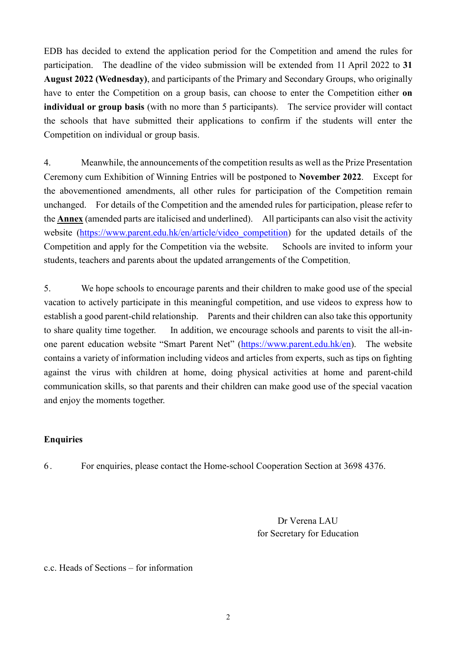EDB has decided to extend the application period for the Competition and amend the rules for participation. The deadline of the video submission will be extended from 11 April 2022 to **31 August 2022 (Wednesday)**, and participants of the Primary and Secondary Groups, who originally have to enter the Competition on a group basis, can choose to enter the Competition either **on individual or group basis** (with no more than 5 participants). The service provider will contact the schools that have submitted their applications to confirm if the students will enter the Competition on individual or group basis.

4. Meanwhile, the announcements of the competition results as well as the Prize Presentation Ceremony cum Exhibition of Winning Entries will be postponed to **November 2022**. Except for the abovementioned amendments, all other rules for participation of the Competition remain unchanged. For details of the Competition and the amended rules for participation, please refer to the **Annex** (amended parts are italicised and underlined). All participants can also visit the activity website (https://www.parent.edu.hk/en/article/video competition) for the updated details of the Competition and apply for the Competition via the website. Schools are invited to inform your students, teachers and parents about the updated arrangements of the Competition.

5. We hope schools to encourage parents and their children to make good use of the special vacation to actively participate in this meaningful competition, and use videos to express how to establish a good parent-child relationship. Parents and their children can also take this opportunity to share quality time together. In addition, we encourage schools and parents to visit the all-inone parent education website "Smart Parent Net" (https://www.parent.edu.hk/en). The website contains a variety of information including videos and articles from experts, such as tips on fighting against the virus with children at home, doing physical activities at home and parent-child communication skills, so that parents and their children can make good use of the special vacation and enjoy the moments together.

### **Enquiries**

6 . For enquiries, please contact the Home-school Cooperation Section at 3698 4376.

Dr Verena LAU for Secretary for Education

c.c. Heads of Sections – for information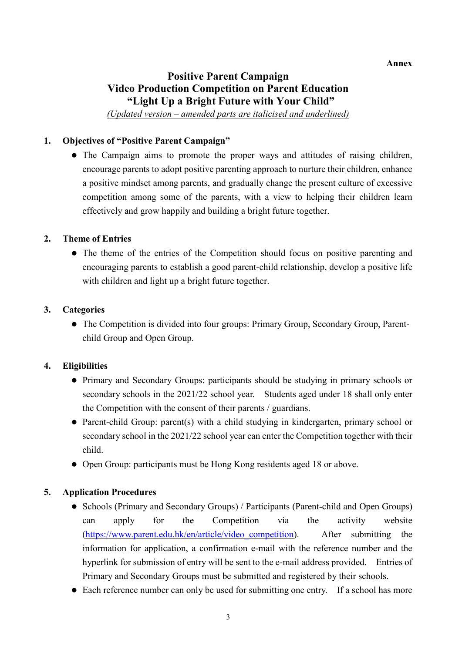# **Positive Parent Campaign Video Production Competition on Parent Education "Light Up a Bright Future with Your Child"**

*(Updated version – amended parts are italicised and underlined)*

### **1. Objectives of "Positive Parent Campaign"**

 The Campaign aims to promote the proper ways and attitudes of raising children, encourage parents to adopt positive parenting approach to nurture their children, enhance a positive mindset among parents, and gradually change the present culture of excessive competition among some of the parents, with a view to helping their children learn effectively and grow happily and building a bright future together.

### **2. Theme of Entries**

• The theme of the entries of the Competition should focus on positive parenting and encouraging parents to establish a good parent-child relationship, develop a positive life with children and light up a bright future together.

### **3. Categories**

 The Competition is divided into four groups: Primary Group, Secondary Group, Parentchild Group and Open Group.

### **4. Eligibilities**

- Primary and Secondary Groups: participants should be studying in primary schools or secondary schools in the 2021/22 school year. Students aged under 18 shall only enter the Competition with the consent of their parents / guardians.
- Parent-child Group: parent(s) with a child studying in kindergarten, primary school or secondary school in the 2021/22 school year can enter the Competition together with their child.
- Open Group: participants must be Hong Kong residents aged 18 or above.

## **5. Application Procedures**

- Schools (Primary and Secondary Groups) / Participants (Parent-child and Open Groups) can apply for the Competition via the activity website (https://www.parent.edu.hk/en/article/video\_competition). After submitting the information for application, a confirmation e-mail with the reference number and the hyperlink for submission of entry will be sent to the e-mail address provided. Entries of Primary and Secondary Groups must be submitted and registered by their schools.
- Each reference number can only be used for submitting one entry. If a school has more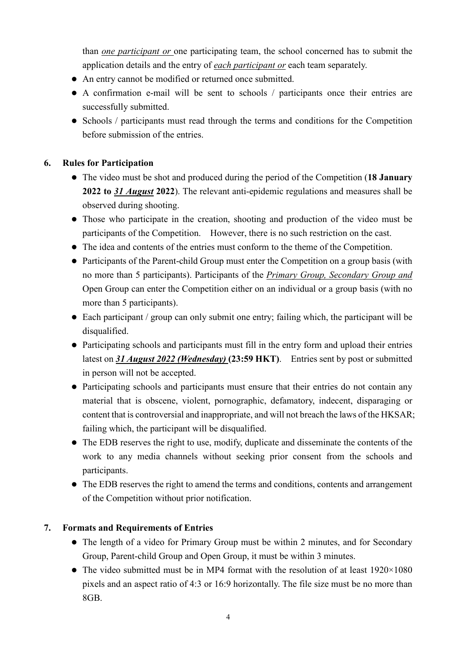than *one participant or* one participating team, the school concerned has to submit the application details and the entry of *each participant or* each team separately.

- An entry cannot be modified or returned once submitted.
- A confirmation e-mail will be sent to schools / participants once their entries are successfully submitted.
- Schools / participants must read through the terms and conditions for the Competition before submission of the entries.

## **6. Rules for Participation**

- The video must be shot and produced during the period of the Competition (**18 January 2022 to** *31 August* **2022**). The relevant anti-epidemic regulations and measures shall be observed during shooting.
- Those who participate in the creation, shooting and production of the video must be participants of the Competition. However, there is no such restriction on the cast.
- The idea and contents of the entries must conform to the theme of the Competition.
- Participants of the Parent-child Group must enter the Competition on a group basis (with no more than 5 participants). Participants of the *Primary Group, Secondary Group and*  Open Group can enter the Competition either on an individual or a group basis (with no more than 5 participants).
- Each participant / group can only submit one entry; failing which, the participant will be disqualified.
- Participating schools and participants must fill in the entry form and upload their entries latest on *31 August 2022 (Wednesday)* **(23:59 HKT)**. Entries sent by post or submitted in person will not be accepted.
- Participating schools and participants must ensure that their entries do not contain any material that is obscene, violent, pornographic, defamatory, indecent, disparaging or content that is controversial and inappropriate, and will not breach the laws of the HKSAR; failing which, the participant will be disqualified.
- The EDB reserves the right to use, modify, duplicate and disseminate the contents of the work to any media channels without seeking prior consent from the schools and participants.
- The EDB reserves the right to amend the terms and conditions, contents and arrangement of the Competition without prior notification.

# **7. Formats and Requirements of Entries**

- The length of a video for Primary Group must be within 2 minutes, and for Secondary Group, Parent-child Group and Open Group, it must be within 3 minutes.
- The video submitted must be in MP4 format with the resolution of at least 1920×1080 pixels and an aspect ratio of 4:3 or 16:9 horizontally. The file size must be no more than 8GB.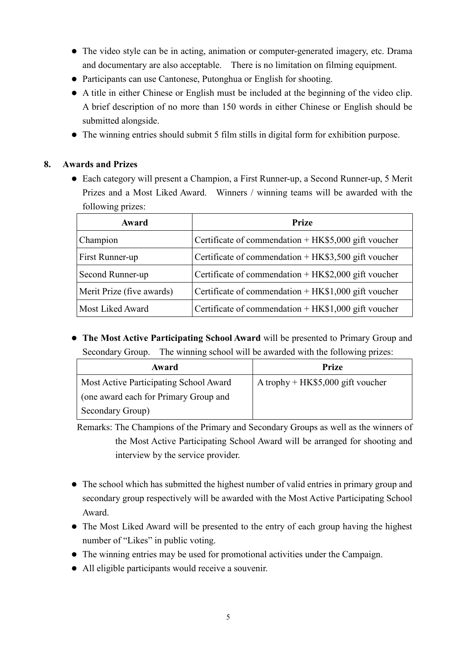- The video style can be in acting, animation or computer-generated imagery, etc. Drama and documentary are also acceptable. There is no limitation on filming equipment.
- Participants can use Cantonese, Putonghua or English for shooting.
- A title in either Chinese or English must be included at the beginning of the video clip. A brief description of no more than 150 words in either Chinese or English should be submitted alongside.
- The winning entries should submit 5 film stills in digital form for exhibition purpose.

### **8. Awards and Prizes**

 Each category will present a Champion, a First Runner-up, a Second Runner-up, 5 Merit Prizes and a Most Liked Award. Winners / winning teams will be awarded with the following prizes:

| Award                     | <b>Prize</b>                                           |
|---------------------------|--------------------------------------------------------|
| Champion                  | Certificate of commendation $+$ HK\$5,000 gift voucher |
| First Runner-up           | Certificate of commendation $+HK\$3,500$ gift voucher  |
| Second Runner-up          | Certificate of commendation $+HK$2,000$ gift voucher   |
| Merit Prize (five awards) | Certificate of commendation $+HK$1,000$ gift voucher   |
| Most Liked Award          | Certificate of commendation $+$ HK\$1,000 gift voucher |

 **The Most Active Participating School Award** will be presented to Primary Group and Secondary Group. The winning school will be awarded with the following prizes:

| Award                                  | Prize                             |
|----------------------------------------|-----------------------------------|
| Most Active Participating School Award | A trophy + HK\$5,000 gift voucher |
| (one award each for Primary Group and  |                                   |
| Secondary Group)                       |                                   |

Remarks: The Champions of the Primary and Secondary Groups as well as the winners of the Most Active Participating School Award will be arranged for shooting and interview by the service provider.

- The school which has submitted the highest number of valid entries in primary group and secondary group respectively will be awarded with the Most Active Participating School Award.
- The Most Liked Award will be presented to the entry of each group having the highest number of "Likes" in public voting.
- The winning entries may be used for promotional activities under the Campaign.
- All eligible participants would receive a souvenir.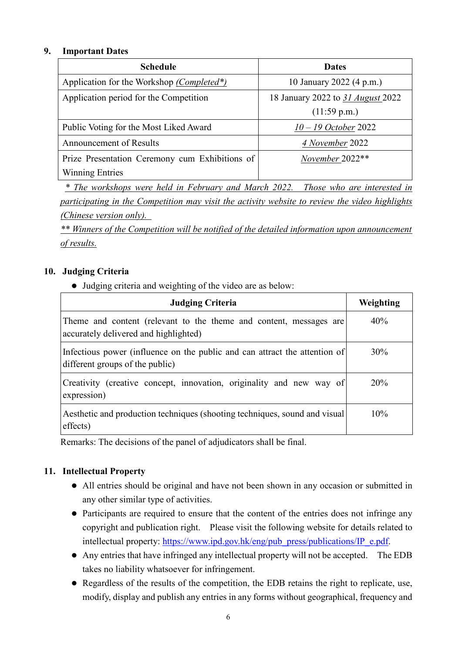### **9. Important Dates**

| <b>Schedule</b>                                | <b>Dates</b>                             |
|------------------------------------------------|------------------------------------------|
| Application for the Workshop (Completed*)      | 10 January 2022 (4 p.m.)                 |
| Application period for the Competition         | 18 January 2022 to 31 <i>August</i> 2022 |
|                                                | (11:59 p.m.)                             |
| Public Voting for the Most Liked Award         | $10 - 19$ October 2022                   |
| <b>Announcement of Results</b>                 | 4 November 2022                          |
| Prize Presentation Ceremony cum Exhibitions of | November 2022**                          |
| <b>Winning Entries</b>                         |                                          |

*\* The workshops were held in February and March 2022. Those who are interested in participating in the Competition may visit the activity website to review the video highlights (Chinese version only).* 

*\*\* Winners of the Competition will be notified of the detailed information upon announcement of results.*

## **10. Judging Criteria**

Judging criteria and weighting of the video are as below:

| <b>Judging Criteria</b>                                                                                       | Weighting |
|---------------------------------------------------------------------------------------------------------------|-----------|
| Theme and content (relevant to the theme and content, messages are<br>accurately delivered and highlighted)   | 40%       |
| Infectious power (influence on the public and can attract the attention of<br>different groups of the public) | 30%       |
| Creativity (creative concept, innovation, originality and new way of<br>expression)                           | 20%       |
| Aesthetic and production techniques (shooting techniques, sound and visual)<br>effects)                       | 10%       |

Remarks: The decisions of the panel of adjudicators shall be final.

### **11. Intellectual Property**

- All entries should be original and have not been shown in any occasion or submitted in any other similar type of activities.
- Participants are required to ensure that the content of the entries does not infringe any copyright and publication right. Please visit the following website for details related to intellectual property: https://www.ipd.gov.hk/eng/pub\_press/publications/IP\_e.pdf.
- Any entries that have infringed any intellectual property will not be accepted. The EDB takes no liability whatsoever for infringement.
- Regardless of the results of the competition, the EDB retains the right to replicate, use, modify, display and publish any entries in any forms without geographical, frequency and